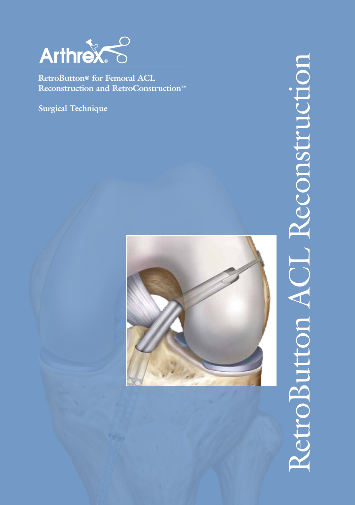

**RetroButton® for Femoral ACL Reconstruction and RetroConstruction™**

**Surgical Technique**



# RetroButton ACL Reconstruction troButton ACL Reconstructio d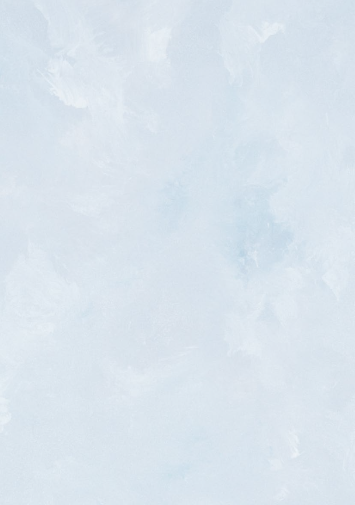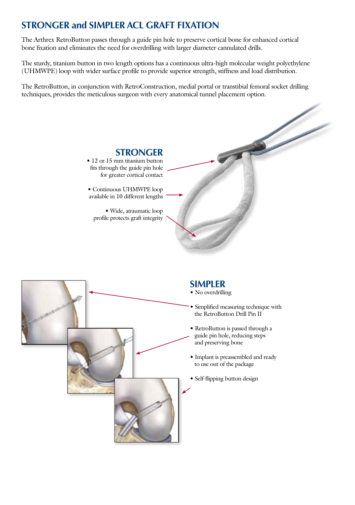### **STRONGER and SIMPLER ACL GRAFT FIXATION**

The Arthrex RetroButton passes through a guide pin hole to preserve cortical bone for enhanced cortical bone fixation and eliminates the need for overdrilling with larger diameter cannulated drills.

The sturdy, titanium button in two length options has a continuous ultra-high molecular weight polyethylene (UHMWPE) loop with wider surface profile to provide superior strength, stiffness and load distribution.

The RetroButton, in conjunction with RetroConstruction, medial portal or transtibial femoral socket drilling techniques, provides the meticulous surgeon with every anatomical tunnel placement option.





### **SIMPLER**

- No overdrilling
- Simplified measuring technique with the RetroButton Drill Pin II
- RetroButton is passed through a guide pin hole, reducing steps and preserving bone
- Implant is preassembled and ready to use out of the package
- Self-flipping button design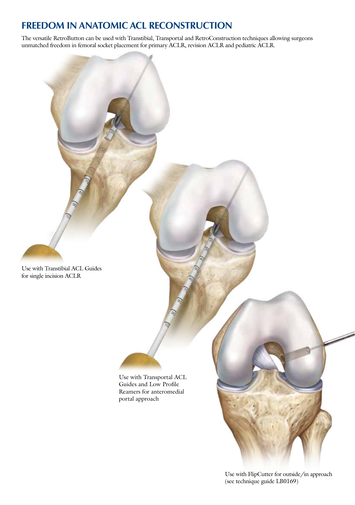### **FREEDOM IN ANATOMIC ACL RECONSTRUCTION**

The versatile RetroButton can be used with Transtibial, Transportal and RetroConstruction techniques allowing surgeons unmatched freedom in femoral socket placement for primary ACLR, revision ACLR and pediatric ACLR.

Use with Transtibial ACL Guides for single incision ACLR

> Use with Transportal ACL Guides and Low Profile Reamers for anteromedial portal approach

> > Use with FlipCutter for outside/in approach (see technique guide LB0169)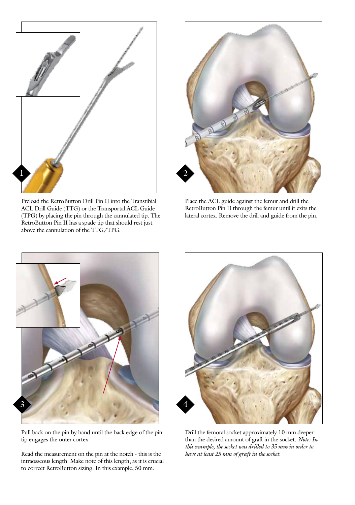

Preload the RetroButton Drill Pin II into the Transtibial ACL Drill Guide (TTG) or the Transportal ACL Guide (TPG) by placing the pin through the cannulated tip. The RetroButton Pin II has a spade tip that should rest just above the cannulation of the TTG/TPG.



Place the ACL guide against the femur and drill the RetroButton Pin II through the femur until it exits the lateral cortex. Remove the drill and guide from the pin.



Pull back on the pin by hand until the back edge of the pin tip engages the outer cortex.

Read the measurement on the pin at the notch - this is the intraosseous length. Make note of this length, as it is crucial to correct RetroButton sizing. In this example, 50 mm.



Drill the femoral socket approximately 10 mm deeper than the desired amount of graft in the socket. *Note: In this example, the socket was drilled to 35 mm in order to have at least 25 mm of graft in the socket.*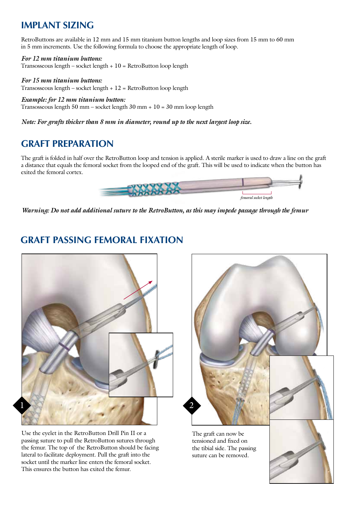### **IMPLANT SIZING**

RetroButtons are available in 12 mm and 15 mm titanium button lengths and loop sizes from 15 mm to 60 mm in 5 mm increments. Use the following formula to choose the appropriate length of loop.

*For 12 mm titanium buttons:*

Transosseous length – socket length + 10 = RetroButton loop length

*For 15 mm titanium buttons:*

Transosseous length – socket length + 12 = RetroButton loop length

*Example: for 12 mm titanium button:* Transosseous length 50 mm – socket length 30 mm + 10 = 30 mm loop length

*Note: For grafts thicker than 8 mm in diameter, round up to the next largest loop size.*

### **GRAFT PREPARATION**

The graft is folded in half over the RetroButton loop and tension is applied. A sterile marker is used to draw a line on the graft a distance that equals the femoral socket from the looped end of the graft. This will be used to indicate when the button has exited the femoral cortex.



*Warning: Do not add additional suture to the RetroButton, as this may impede passage through the femur*

## **GRAFT PASSING FEMORAL FIXATION**



Use the eyelet in the RetroButton Drill Pin II or a passing suture to pull the RetroButton sutures through the femur. The top of the RetroButton should be facing lateral to facilitate deployment. Pull the graft into the socket until the marker line enters the femoral socket. This ensures the button has exited the femur.



tensioned and fixed on the tibial side. The passing suture can be removed.

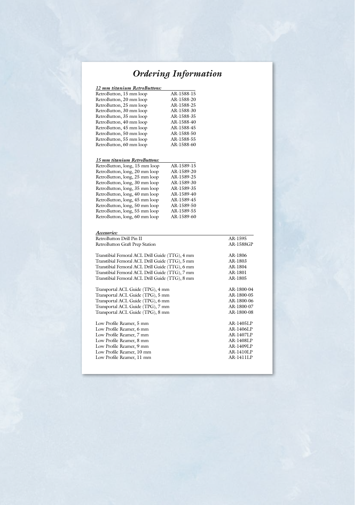# *Ordering Information*

| 12 mm titanium RetroButtons:                    |            |                  |
|-------------------------------------------------|------------|------------------|
| RetroButton, 15 mm loop                         | AR-1588-15 |                  |
| RetroButton, 20 mm loop                         | AR-1588-20 |                  |
| RetroButton, 25 mm loop                         | AR-1588-25 |                  |
| RetroButton, 30 mm loop                         | AR-1588-30 |                  |
| RetroButton, 35 mm loop                         | AR-1588-35 |                  |
| RetroButton, 40 mm loop                         | AR-1588-40 |                  |
| RetroButton, 45 mm loop                         | AR-1588-45 |                  |
| RetroButton, 50 mm loop                         | AR-1588-50 |                  |
| RetroButton, 55 mm loop                         | AR-1588-55 |                  |
| RetroButton, 60 mm loop                         | AR-1588-60 |                  |
| 15 mm titanium RetroButtons:                    |            |                  |
| RetroButton, long, 15 mm loop                   | AR-1589-15 |                  |
| RetroButton, long, 20 mm loop                   |            |                  |
|                                                 | AR-1589-20 |                  |
| RetroButton, long, 25 mm loop                   | AR-1589-25 |                  |
| RetroButton, long, 30 mm loop                   | AR-1589-30 |                  |
| RetroButton, long, 35 mm loop                   | AR-1589-35 |                  |
| RetroButton, long, 40 mm loop                   | AR-1589-40 |                  |
| RetroButton, long, 45 mm loop                   | AR-1589-45 |                  |
| RetroButton, long, 50 mm loop                   | AR-1589-50 |                  |
| RetroButton, long, 55 mm loop                   | AR-1589-55 |                  |
| RetroButton, long, 60 mm loop                   | AR-1589-60 |                  |
| Accessories:                                    |            |                  |
| RetroButton Drill Pin II                        |            | AR-1595          |
| <b>RetroButton Graft Prep Station</b>           |            | AR-1588GP        |
| Transtibial Femoral ACL Drill Guide (TTG), 4 mm |            | AR-1806          |
| Transtibial Femoral ACL Drill Guide (TTG), 5 mm |            | AR-1803          |
| Transtibial Femoral ACL Drill Guide (TTG), 6 mm |            | AR-1804          |
| Transtibial Femoral ACL Drill Guide (TTG), 7 mm |            | AR-1801          |
| Transtibial Femoral ACL Drill Guide (TTG), 8 mm |            | AR-1805          |
| Transportal ACL Guide (TPG), 4 mm               |            | AR-1800-04       |
| Transportal ACL Guide (TPG), 5 mm               |            | AR-1800-05       |
| Transportal ACL Guide (TPG), 6 mm               |            | AR-1800-06       |
| Transportal ACL Guide (TPG), 7 mm               |            | AR-1800-07       |
| Transportal ACL Guide (TPG), 8 mm               |            | AR-1800-08       |
| Low Profile Reamer, 5 mm                        |            | AR-1405LP        |
| Low Profile Reamer, 6 mm                        |            | AR-1406LP        |
| Low Profile Reamer, 7 mm                        |            | AR-1407LP        |
| Low Profile Reamer, 8 mm                        |            | AR-1408LP        |
| Low Profile Reamer, 9 mm                        |            | AR-1409LP        |
| Low Profile Reamer, 10 mm                       |            | AR-1410LP        |
| Low Profile Reamer, 11 mm                       |            | <b>AR-1411LP</b> |
|                                                 |            |                  |